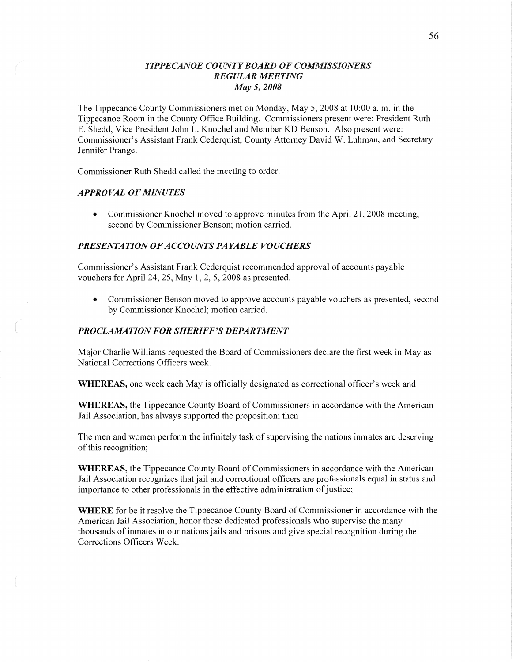# *TIPPECANOE* C0 *UNTYBOARD* OF *COMMISSIONERS REGULAR MEETING*  May 5, *2008*

The Tippecanoe County Commissioners met on Monday, May 5, 2008 at 10:00 a. m. in the Tippecanoe Room in the County Office Building. Commissioners present were: President Ruth E. Shedd, Vice President John L. Knochel and Member KD Benson. Also present were: Commissioner's Assistant Frank Cederquist, County Attorney David W. Luhman, and Secretary Jennifer Prange.

Commissioner Ruth Shedd called the meeting to order.

### **APPROVAL OF MINUTES**

 $\overline{a}$ 

• Commissioner Knochel moved to approve minutes from the April 21, 2008 meeting, second by Commissioner Benson; motion carried.

### **PRESENTATION OF ACCOUNTS PAYABLE VOUCHERS**

Commissioner's Assistant Frank Cederquist recommended approval of accounts payable vouchers for April 24, 25, May 1, 2, 5, 2008 as presented.

**0** Commissioner Benson moved to approve accounts payable vouchers as presented, second by Commissioner Knochel; motion carried.

# **PROCLAMATION FOR SHERIFF'S DEPARTMENT**

Major Charlie Williams requested the Board of Commissioners declare the first week in May as National Corrections Officers week.

**WHEREAS,** one week each May is officially designated as correctional officer's week and

**WHEREAS,** the Tippecanoe County Board of Commissioners in accordance with the American Jail Association, has always supported the proposition; then

The men and women perform the infinitely task of supervising the nations inmates are deserving of this recognition;

**WHEREAS,** the Tippecanoe County Board of Commissioners in accordance with the American Jail Association recognizes that jail and correctional officers are professionals equal in status and importance to other professionals in the effective administration of justice;

**WHERE** for be it resolve the Tippecanoe County Board of Commissioner in accordance with the American Jail Association, honor these dedicated professionals Who supervise the many thousands of inmates in our nations jails and prisons and give special recognition during the Corrections Officers Week.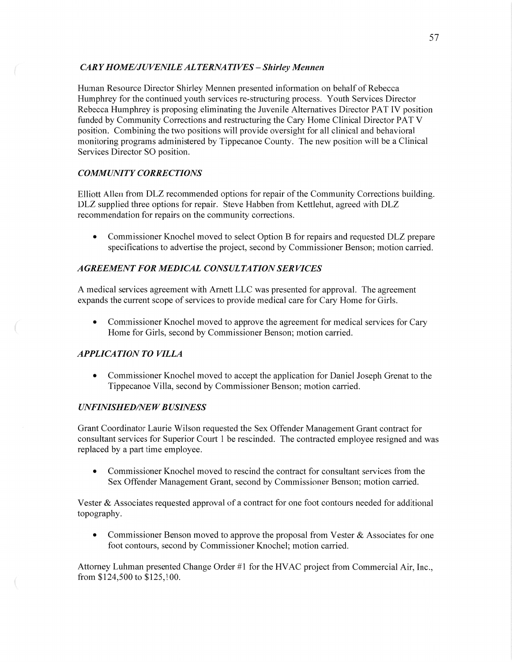# CAR *Y H OME/J U VENILE* AL *T ERNA T I* VES *— Shirley Mennen*

Human Resource Director Shirley Mennen presented information on behalf of Rebecca Humphrey for the continued youth services re-structuring process. Youth Services Director Rebecca Humphrey is proposing eliminating the Juvenile Alternatives Director PAT IV position funded by Community Corrections and restructuring the Cary Home Clinical Director PAT **V**  position. Combining the two positions Will provide oversight for all clinical and behavioral monitoring programs administered by Tippecanoe County. The new position will be a Clinical Services Director SO position.

# *COMMUNITY CORRECTIONS*

Elliott Allen from DLZ recommended options for repair of the Community Corrections building. DLZ supplied three options for repair. Steve Habben from Kettlehut, agreed with DLZ recommendation for repairs on the community corrections.

**0** Commissioner Knochel moved to select Option B for repairs and requested DLZ prepare specifications to advertise the project, second by Commissioner Benson; motion carried.

## *AGREEMENT* FOR *MEDICAL CONSULTA T* ION SER *VICES*

**A** medical services agreement with Amett LLC was presented for approval. The agreement expands the current scope of services to provide medical care for Cary Home for Girls.

**0** Commissioner Knochel moved to approve the agreement for medical services for Cary Home for Girls, second by Commissioner Benson; motion carried.

# *APPLICATION TO VILLA*

**•** Commissioner Knochel moved to accept the application for Daniel Joseph Grenat to the Tippecanoe Villa, second by Commissioner Benson; motion carried.

### *UNFINISHED/NE W B USINESS*

Grant Coordinator Laurie Wilson requested the Sex Offender Management Grant contract for consultant services for Superior Court 1 be rescinded. The contracted employee resigned and was replaced by **a** part time employee.

**0** Commissioner Knochel moved to rescind the contract for consultant services from the Sex Offender Management Grant, second by Commissioner Benson; motion carried.

Vester & Associates requested approval of a contract for one foot contours needed for additional topography.

• Commissioner Benson moved to approve the proposal from Vester & Associates for one foot contours, second by Commissioner Knochel; motion carried.

Attorney Luhman presented Change Order #1 for the **HVAC** project from Commercial Air, Inc., from \$124,500 to \$125,100.